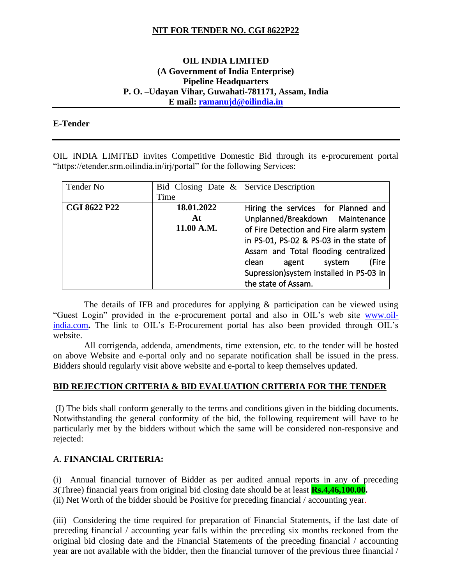## **NIT FOR TENDER NO. CGI 8622P22**

### **OIL INDIA LIMITED (A Government of India Enterprise) Pipeline Headquarters P. O. –Udayan Vihar, Guwahati-781171, Assam, India E mail: [ramanujd@oilindia.in](mailto:ramanujd@oilindia.in)**

#### **E-Tender**

OIL INDIA LIMITED invites Competitive Domestic Bid through its e-procurement portal "https://etender.srm.oilindia.in/irj/portal" for the following Services:

| Tender No           | Bid Closing Date $\&$ Service Description |                                          |
|---------------------|-------------------------------------------|------------------------------------------|
|                     | Time                                      |                                          |
| <b>CGI 8622 P22</b> | 18.01.2022                                | Hiring the services for Planned and      |
|                     | At                                        | Unplanned/Breakdown Maintenance          |
|                     | 11.00 A.M.                                | of Fire Detection and Fire alarm system  |
|                     |                                           | in PS-01, PS-02 & PS-03 in the state of  |
|                     |                                           | Assam and Total flooding centralized     |
|                     |                                           | (Fire<br>agent system<br>clean           |
|                     |                                           | Supression) system installed in PS-03 in |
|                     |                                           | the state of Assam.                      |

 The details of IFB and procedures for applying & participation can be viewed using "Guest Login" provided in the e-procurement portal and also in OIL's web site [www.oil](http://www.oil-india.com/)[india.com](http://www.oil-india.com/). The link to OIL's E-Procurement portal has also been provided through OIL's website.

 All corrigenda, addenda, amendments, time extension, etc. to the tender will be hosted on above Website and e-portal only and no separate notification shall be issued in the press. Bidders should regularly visit above website and e-portal to keep themselves updated.

### **BID REJECTION CRITERIA & BID EVALUATION CRITERIA FOR THE TENDER**

(I) The bids shall conform generally to the terms and conditions given in the bidding documents. Notwithstanding the general conformity of the bid, the following requirement will have to be particularly met by the bidders without which the same will be considered non-responsive and rejected:

### A. **FINANCIAL CRITERIA:**

(i) Annual financial turnover of Bidder as per audited annual reports in any of preceding 3(Three) financial years from original bid closing date should be at least **Rs.4,46,100.00.** (ii) Net Worth of the bidder should be Positive for preceding financial / accounting year.

(iii) Considering the time required for preparation of Financial Statements, if the last date of preceding financial / accounting year falls within the preceding six months reckoned from the original bid closing date and the Financial Statements of the preceding financial / accounting year are not available with the bidder, then the financial turnover of the previous three financial /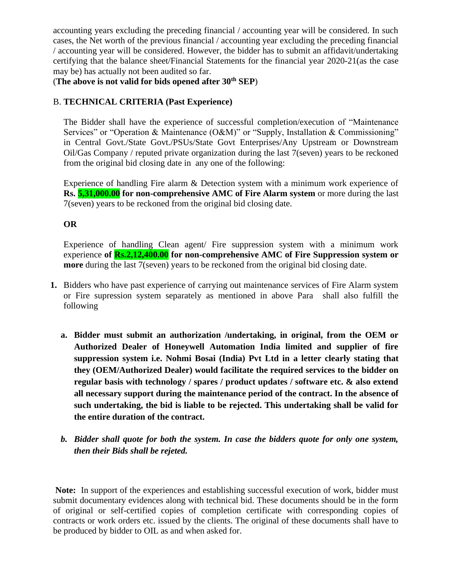accounting years excluding the preceding financial / accounting year will be considered. In such cases, the Net worth of the previous financial / accounting year excluding the preceding financial / accounting year will be considered. However, the bidder has to submit an affidavit/undertaking certifying that the balance sheet/Financial Statements for the financial year 2020-21(as the case may be) has actually not been audited so far.

(**The above is not valid for bids opened after 30th SEP**)

# B. **TECHNICAL CRITERIA (Past Experience)**

The Bidder shall have the experience of successful completion/execution of "Maintenance Services" or "Operation & Maintenance (O&M)" or "Supply, Installation & Commissioning" in Central Govt./State Govt./PSUs/State Govt Enterprises/Any Upstream or Downstream Oil/Gas Company / reputed private organization during the last 7(seven) years to be reckoned from the original bid closing date in any one of the following:

Experience of handling Fire alarm & Detection system with a minimum work experience of **Rs.** 5,31,000.00 for non-comprehensive AMC of Fire Alarm system or more during the last 7(seven) years to be reckoned from the original bid closing date.

**OR**

Experience of handling Clean agent/ Fire suppression system with a minimum work experience **of Rs.2,12,400.00 for non-comprehensive AMC of Fire Suppression system or more** during the last 7(seven) years to be reckoned from the original bid closing date.

- **1.** Bidders who have past experience of carrying out maintenance services of Fire Alarm system or Fire supression system separately as mentioned in above Para shall also fulfill the following
	- **a. Bidder must submit an authorization /undertaking, in original, from the OEM or Authorized Dealer of Honeywell Automation India limited and supplier of fire suppression system i.e. Nohmi Bosai (India) Pvt Ltd in a letter clearly stating that they (OEM/Authorized Dealer) would facilitate the required services to the bidder on regular basis with technology / spares / product updates / software etc. & also extend all necessary support during the maintenance period of the contract. In the absence of such undertaking, the bid is liable to be rejected. This undertaking shall be valid for the entire duration of the contract.**
	- *b. Bidder shall quote for both the system. In case the bidders quote for only one system, then their Bids shall be rejeted.*

**Note:** In support of the experiences and establishing successful execution of work, bidder must submit documentary evidences along with technical bid. These documents should be in the form of original or self-certified copies of completion certificate with corresponding copies of contracts or work orders etc. issued by the clients. The original of these documents shall have to be produced by bidder to OIL as and when asked for.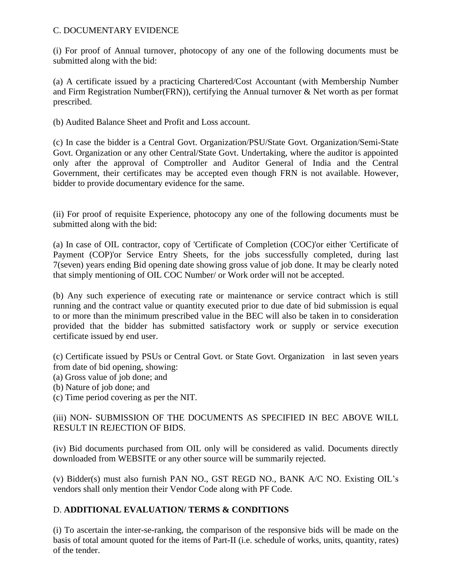### C. DOCUMENTARY EVIDENCE

(i) For proof of Annual turnover, photocopy of any one of the following documents must be submitted along with the bid:

(a) A certificate issued by a practicing Chartered/Cost Accountant (with Membership Number and Firm Registration Number(FRN)), certifying the Annual turnover & Net worth as per format prescribed.

(b) Audited Balance Sheet and Profit and Loss account.

(c) In case the bidder is a Central Govt. Organization/PSU/State Govt. Organization/Semi-State Govt. Organization or any other Central/State Govt. Undertaking, where the auditor is appointed only after the approval of Comptroller and Auditor General of India and the Central Government, their certificates may be accepted even though FRN is not available. However, bidder to provide documentary evidence for the same.

(ii) For proof of requisite Experience, photocopy any one of the following documents must be submitted along with the bid:

(a) In case of OIL contractor, copy of 'Certificate of Completion (COC)'or either 'Certificate of Payment (COP)'or Service Entry Sheets, for the jobs successfully completed, during last 7(seven) years ending Bid opening date showing gross value of job done. It may be clearly noted that simply mentioning of OIL COC Number/ or Work order will not be accepted.

(b) Any such experience of executing rate or maintenance or service contract which is still running and the contract value or quantity executed prior to due date of bid submission is equal to or more than the minimum prescribed value in the BEC will also be taken in to consideration provided that the bidder has submitted satisfactory work or supply or service execution certificate issued by end user.

(c) Certificate issued by PSUs or Central Govt. or State Govt. Organization in last seven years from date of bid opening, showing:

- (a) Gross value of job done; and
- (b) Nature of job done; and
- (c) Time period covering as per the NIT.

# (iii) NON- SUBMISSION OF THE DOCUMENTS AS SPECIFIED IN BEC ABOVE WILL RESULT IN REJECTION OF BIDS.

(iv) Bid documents purchased from OIL only will be considered as valid. Documents directly downloaded from WEBSITE or any other source will be summarily rejected.

(v) Bidder(s) must also furnish PAN NO., GST REGD NO., BANK A/C NO. Existing OIL's vendors shall only mention their Vendor Code along with PF Code.

## D. **ADDITIONAL EVALUATION/ TERMS & CONDITIONS**

(i) To ascertain the inter-se-ranking, the comparison of the responsive bids will be made on the basis of total amount quoted for the items of Part-II (i.e. schedule of works, units, quantity, rates) of the tender.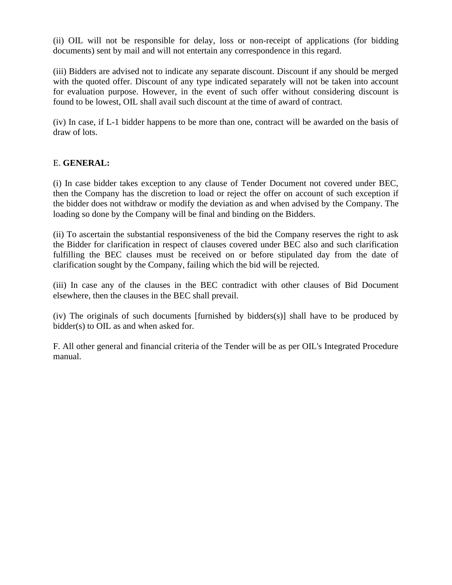(ii) OIL will not be responsible for delay, loss or non-receipt of applications (for bidding documents) sent by mail and will not entertain any correspondence in this regard.

(iii) Bidders are advised not to indicate any separate discount. Discount if any should be merged with the quoted offer. Discount of any type indicated separately will not be taken into account for evaluation purpose. However, in the event of such offer without considering discount is found to be lowest, OIL shall avail such discount at the time of award of contract.

(iv) In case, if L-1 bidder happens to be more than one, contract will be awarded on the basis of draw of lots.

## E. **GENERAL:**

(i) In case bidder takes exception to any clause of Tender Document not covered under BEC, then the Company has the discretion to load or reject the offer on account of such exception if the bidder does not withdraw or modify the deviation as and when advised by the Company. The loading so done by the Company will be final and binding on the Bidders.

(ii) To ascertain the substantial responsiveness of the bid the Company reserves the right to ask the Bidder for clarification in respect of clauses covered under BEC also and such clarification fulfilling the BEC clauses must be received on or before stipulated day from the date of clarification sought by the Company, failing which the bid will be rejected.

(iii) In case any of the clauses in the BEC contradict with other clauses of Bid Document elsewhere, then the clauses in the BEC shall prevail.

(iv) The originals of such documents [furnished by bidders(s)] shall have to be produced by bidder(s) to OIL as and when asked for.

F. All other general and financial criteria of the Tender will be as per OIL's Integrated Procedure manual.